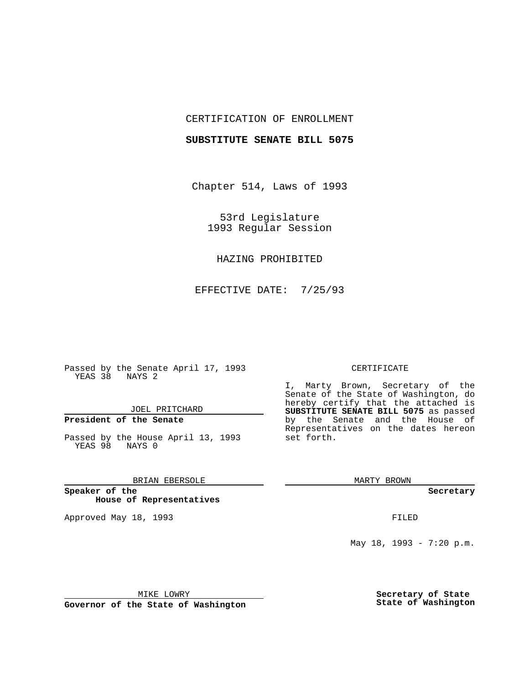## CERTIFICATION OF ENROLLMENT

#### **SUBSTITUTE SENATE BILL 5075**

Chapter 514, Laws of 1993

53rd Legislature 1993 Regular Session

## HAZING PROHIBITED

EFFECTIVE DATE: 7/25/93

Passed by the Senate April 17, 1993 YEAS 38 NAYS 2

JOEL PRITCHARD

# **President of the Senate**

Passed by the House April 13, 1993 YEAS 98 NAYS 0

## BRIAN EBERSOLE

**Speaker of the House of Representatives**

Approved May 18, 1993 **FILED** 

#### CERTIFICATE

I, Marty Brown, Secretary of the Senate of the State of Washington, do hereby certify that the attached is **SUBSTITUTE SENATE BILL 5075** as passed by the Senate and the House of Representatives on the dates hereon set forth.

MARTY BROWN

**Secretary**

May 18, 1993 - 7:20 p.m.

MIKE LOWRY

**Governor of the State of Washington**

**Secretary of State State of Washington**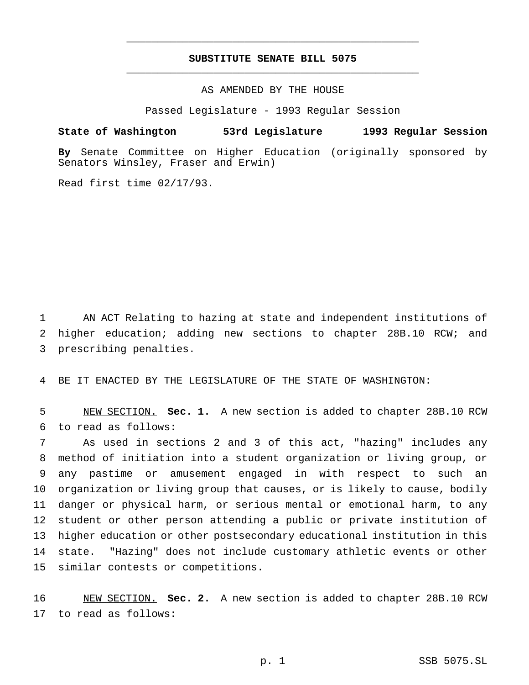# **SUBSTITUTE SENATE BILL 5075** \_\_\_\_\_\_\_\_\_\_\_\_\_\_\_\_\_\_\_\_\_\_\_\_\_\_\_\_\_\_\_\_\_\_\_\_\_\_\_\_\_\_\_\_\_\_\_

\_\_\_\_\_\_\_\_\_\_\_\_\_\_\_\_\_\_\_\_\_\_\_\_\_\_\_\_\_\_\_\_\_\_\_\_\_\_\_\_\_\_\_\_\_\_\_

AS AMENDED BY THE HOUSE

Passed Legislature - 1993 Regular Session

#### **State of Washington 53rd Legislature 1993 Regular Session**

**By** Senate Committee on Higher Education (originally sponsored by Senators Winsley, Fraser and Erwin)

Read first time 02/17/93.

 AN ACT Relating to hazing at state and independent institutions of higher education; adding new sections to chapter 28B.10 RCW; and prescribing penalties.

BE IT ENACTED BY THE LEGISLATURE OF THE STATE OF WASHINGTON:

 NEW SECTION. **Sec. 1.** A new section is added to chapter 28B.10 RCW to read as follows:

 As used in sections 2 and 3 of this act, "hazing" includes any method of initiation into a student organization or living group, or any pastime or amusement engaged in with respect to such an organization or living group that causes, or is likely to cause, bodily danger or physical harm, or serious mental or emotional harm, to any student or other person attending a public or private institution of higher education or other postsecondary educational institution in this state. "Hazing" does not include customary athletic events or other similar contests or competitions.

 NEW SECTION. **Sec. 2.** A new section is added to chapter 28B.10 RCW to read as follows: